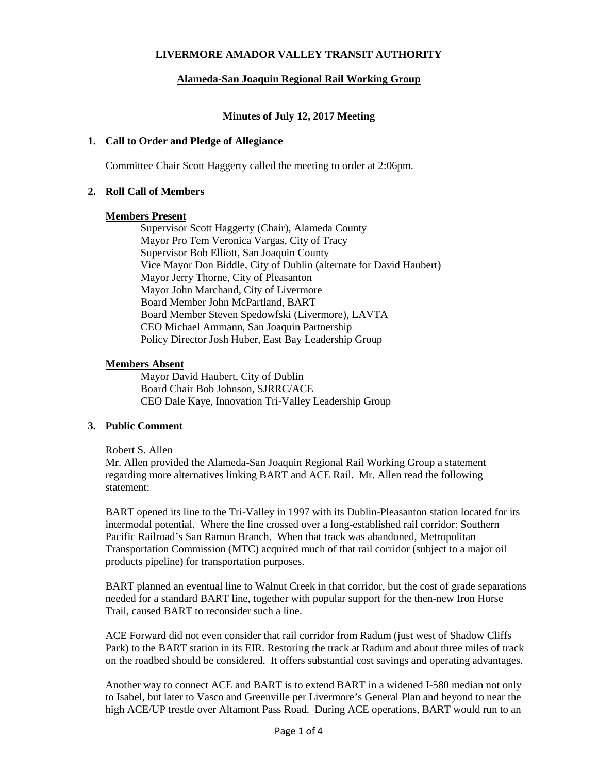# **LIVERMORE AMADOR VALLEY TRANSIT AUTHORITY**

# **Alameda-San Joaquin Regional Rail Working Group**

## **Minutes of July 12, 2017 Meeting**

### **1. Call to Order and Pledge of Allegiance**

Committee Chair Scott Haggerty called the meeting to order at 2:06pm.

## **2. Roll Call of Members**

### **Members Present**

Supervisor Scott Haggerty (Chair), Alameda County Mayor Pro Tem Veronica Vargas, City of Tracy Supervisor Bob Elliott, San Joaquin County Vice Mayor Don Biddle, City of Dublin (alternate for David Haubert) Mayor Jerry Thorne, City of Pleasanton Mayor John Marchand, City of Livermore Board Member John McPartland, BART Board Member Steven Spedowfski (Livermore), LAVTA CEO Michael Ammann, San Joaquin Partnership Policy Director Josh Huber, East Bay Leadership Group

## **Members Absent**

Mayor David Haubert, City of Dublin Board Chair Bob Johnson, SJRRC/ACE CEO Dale Kaye, Innovation Tri-Valley Leadership Group

# **3. Public Comment**

### Robert S. Allen

Mr. Allen provided the Alameda-San Joaquin Regional Rail Working Group a statement regarding more alternatives linking BART and ACE Rail. Mr. Allen read the following statement:

BART opened its line to the Tri-Valley in 1997 with its Dublin-Pleasanton station located for its intermodal potential. Where the line crossed over a long-established rail corridor: Southern Pacific Railroad's San Ramon Branch. When that track was abandoned, Metropolitan Transportation Commission (MTC) acquired much of that rail corridor (subject to a major oil products pipeline) for transportation purposes.

BART planned an eventual line to Walnut Creek in that corridor, but the cost of grade separations needed for a standard BART line, together with popular support for the then-new Iron Horse Trail, caused BART to reconsider such a line.

ACE Forward did not even consider that rail corridor from Radum (just west of Shadow Cliffs Park) to the BART station in its EIR. Restoring the track at Radum and about three miles of track on the roadbed should be considered. It offers substantial cost savings and operating advantages.

Another way to connect ACE and BART is to extend BART in a widened I-580 median not only to Isabel, but later to Vasco and Greenville per Livermore's General Plan and beyond to near the high ACE/UP trestle over Altamont Pass Road. During ACE operations, BART would run to an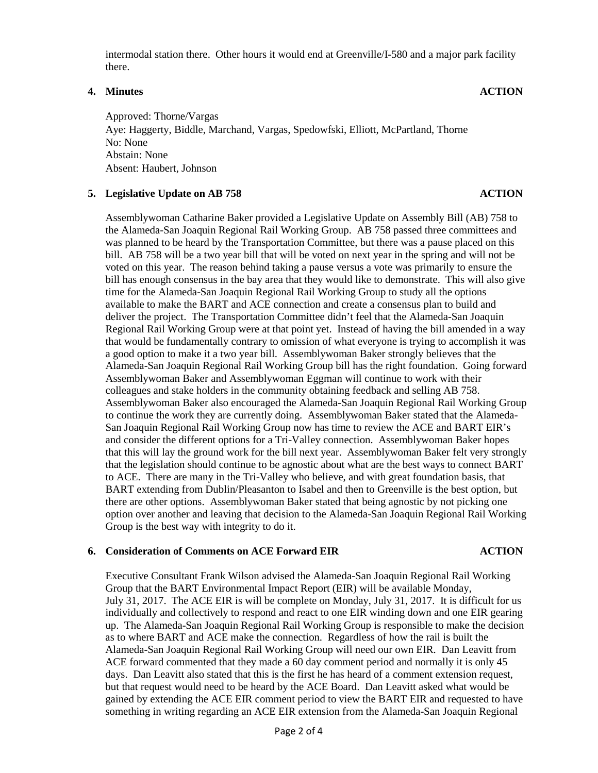intermodal station there. Other hours it would end at Greenville/I-580 and a major park facility there.

# **4. Minutes ACTION**

Approved: Thorne/Vargas Aye: Haggerty, Biddle, Marchand, Vargas, Spedowfski, Elliott, McPartland, Thorne No: None Abstain: None Absent: Haubert, Johnson

# **5. Legislative Update on AB 758 ACTION**

Assemblywoman Catharine Baker provided a Legislative Update on Assembly Bill (AB) 758 to the Alameda-San Joaquin Regional Rail Working Group. AB 758 passed three committees and was planned to be heard by the Transportation Committee, but there was a pause placed on this bill. AB 758 will be a two year bill that will be voted on next year in the spring and will not be voted on this year. The reason behind taking a pause versus a vote was primarily to ensure the bill has enough consensus in the bay area that they would like to demonstrate. This will also give time for the Alameda-San Joaquin Regional Rail Working Group to study all the options available to make the BART and ACE connection and create a consensus plan to build and deliver the project. The Transportation Committee didn't feel that the Alameda-San Joaquin Regional Rail Working Group were at that point yet. Instead of having the bill amended in a way that would be fundamentally contrary to omission of what everyone is trying to accomplish it was a good option to make it a two year bill. Assemblywoman Baker strongly believes that the Alameda-San Joaquin Regional Rail Working Group bill has the right foundation. Going forward Assemblywoman Baker and Assemblywoman Eggman will continue to work with their colleagues and stake holders in the community obtaining feedback and selling AB 758. Assemblywoman Baker also encouraged the Alameda-San Joaquin Regional Rail Working Group to continue the work they are currently doing. Assemblywoman Baker stated that the Alameda-San Joaquin Regional Rail Working Group now has time to review the ACE and BART EIR's and consider the different options for a Tri-Valley connection. Assemblywoman Baker hopes that this will lay the ground work for the bill next year. Assemblywoman Baker felt very strongly that the legislation should continue to be agnostic about what are the best ways to connect BART to ACE. There are many in the Tri-Valley who believe, and with great foundation basis, that BART extending from Dublin/Pleasanton to Isabel and then to Greenville is the best option, but there are other options. Assemblywoman Baker stated that being agnostic by not picking one option over another and leaving that decision to the Alameda-San Joaquin Regional Rail Working Group is the best way with integrity to do it.

# **6. Consideration of Comments on ACE Forward EIR ACTION**

Executive Consultant Frank Wilson advised the Alameda-San Joaquin Regional Rail Working Group that the BART Environmental Impact Report (EIR) will be available Monday, July 31, 2017. The ACE EIR is will be complete on Monday, July 31, 2017. It is difficult for us individually and collectively to respond and react to one EIR winding down and one EIR gearing up. The Alameda-San Joaquin Regional Rail Working Group is responsible to make the decision as to where BART and ACE make the connection. Regardless of how the rail is built the Alameda-San Joaquin Regional Rail Working Group will need our own EIR. Dan Leavitt from ACE forward commented that they made a 60 day comment period and normally it is only 45 days. Dan Leavitt also stated that this is the first he has heard of a comment extension request, but that request would need to be heard by the ACE Board. Dan Leavitt asked what would be gained by extending the ACE EIR comment period to view the BART EIR and requested to have something in writing regarding an ACE EIR extension from the Alameda-San Joaquin Regional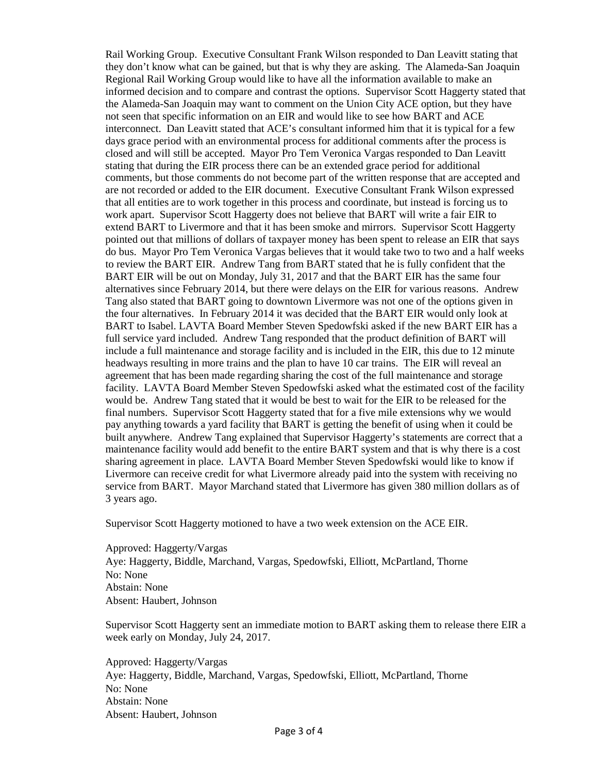Rail Working Group. Executive Consultant Frank Wilson responded to Dan Leavitt stating that they don't know what can be gained, but that is why they are asking. The Alameda-San Joaquin Regional Rail Working Group would like to have all the information available to make an informed decision and to compare and contrast the options. Supervisor Scott Haggerty stated that the Alameda-San Joaquin may want to comment on the Union City ACE option, but they have not seen that specific information on an EIR and would like to see how BART and ACE interconnect. Dan Leavitt stated that ACE's consultant informed him that it is typical for a few days grace period with an environmental process for additional comments after the process is closed and will still be accepted. Mayor Pro Tem Veronica Vargas responded to Dan Leavitt stating that during the EIR process there can be an extended grace period for additional comments, but those comments do not become part of the written response that are accepted and are not recorded or added to the EIR document. Executive Consultant Frank Wilson expressed that all entities are to work together in this process and coordinate, but instead is forcing us to work apart. Supervisor Scott Haggerty does not believe that BART will write a fair EIR to extend BART to Livermore and that it has been smoke and mirrors. Supervisor Scott Haggerty pointed out that millions of dollars of taxpayer money has been spent to release an EIR that says do bus. Mayor Pro Tem Veronica Vargas believes that it would take two to two and a half weeks to review the BART EIR. Andrew Tang from BART stated that he is fully confident that the BART EIR will be out on Monday, July 31, 2017 and that the BART EIR has the same four alternatives since February 2014, but there were delays on the EIR for various reasons. Andrew Tang also stated that BART going to downtown Livermore was not one of the options given in the four alternatives. In February 2014 it was decided that the BART EIR would only look at BART to Isabel. LAVTA Board Member Steven Spedowfski asked if the new BART EIR has a full service yard included. Andrew Tang responded that the product definition of BART will include a full maintenance and storage facility and is included in the EIR, this due to 12 minute headways resulting in more trains and the plan to have 10 car trains. The EIR will reveal an agreement that has been made regarding sharing the cost of the full maintenance and storage facility. LAVTA Board Member Steven Spedowfski asked what the estimated cost of the facility would be. Andrew Tang stated that it would be best to wait for the EIR to be released for the final numbers. Supervisor Scott Haggerty stated that for a five mile extensions why we would pay anything towards a yard facility that BART is getting the benefit of using when it could be built anywhere. Andrew Tang explained that Supervisor Haggerty's statements are correct that a maintenance facility would add benefit to the entire BART system and that is why there is a cost sharing agreement in place. LAVTA Board Member Steven Spedowfski would like to know if Livermore can receive credit for what Livermore already paid into the system with receiving no service from BART. Mayor Marchand stated that Livermore has given 380 million dollars as of 3 years ago.

Supervisor Scott Haggerty motioned to have a two week extension on the ACE EIR.

Approved: Haggerty/Vargas Aye: Haggerty, Biddle, Marchand, Vargas, Spedowfski, Elliott, McPartland, Thorne No: None Abstain: None Absent: Haubert, Johnson

Supervisor Scott Haggerty sent an immediate motion to BART asking them to release there EIR a week early on Monday, July 24, 2017.

Approved: Haggerty/Vargas Aye: Haggerty, Biddle, Marchand, Vargas, Spedowfski, Elliott, McPartland, Thorne No: None Abstain: None Absent: Haubert, Johnson